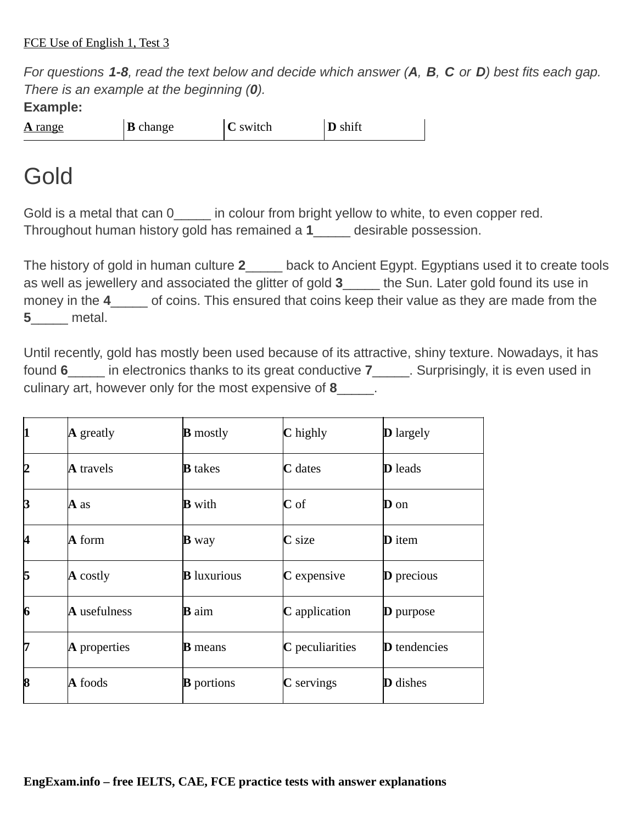*For questions 1-8, read the text below and decide which answer (А, В, C or D) best fits each gap. There is an example at the beginning (0).*

**Example:**

**A** range **B** change **C** switch **D** shift

## Gold

Gold is a metal that can  $0 \qquad$  in colour from bright yellow to white, to even copper red. Throughout human history gold has remained a **1**\_\_\_\_\_ desirable possession.

The history of gold in human culture **2**\_\_\_\_\_ back to Ancient Egypt. Egyptians used it to create tools as well as jewellery and associated the glitter of gold **3**\_\_\_\_\_ the Sun. Later gold found its use in money in the **4**\_\_\_\_\_ of coins. This ensured that coins keep their value as they are made from the **5**\_\_\_\_\_ metal.

Until recently, gold has mostly been used because of its attractive, shiny texture. Nowadays, it has found **6**\_\_\_\_\_ in electronics thanks to its great conductive **7**\_\_\_\_\_. Surprisingly, it is even used in culinary art, however only for the most expensive of **8**\_\_\_\_\_.

| 1  | $\bf{A}$ greatly    | <b>B</b> mostly    | C highly        | <b>D</b> largely    |
|----|---------------------|--------------------|-----------------|---------------------|
| 12 | <b>A</b> travels    | <b>B</b> takes     | C dates         | <b>D</b> leads      |
| B  | A as                | <b>B</b> with      | $\mathbf C$ of  | $\mathbf D$ on      |
| 14 | A form              | $\mathbf{B}$ way   | C size          | <b>D</b> item       |
| 15 | $\bf{A}$ costly     | <b>B</b> luxurious | C expensive     | <b>D</b> precious   |
| 6  | <b>A</b> usefulness | <b>B</b> aim       | C application   | $\bf{D}$ purpose    |
| 17 | $\bm{A}$ properties | <b>B</b> means     | C peculiarities | <b>D</b> tendencies |
| 18 | A foods             | <b>B</b> portions  | $C$ servings    | <b>D</b> dishes     |